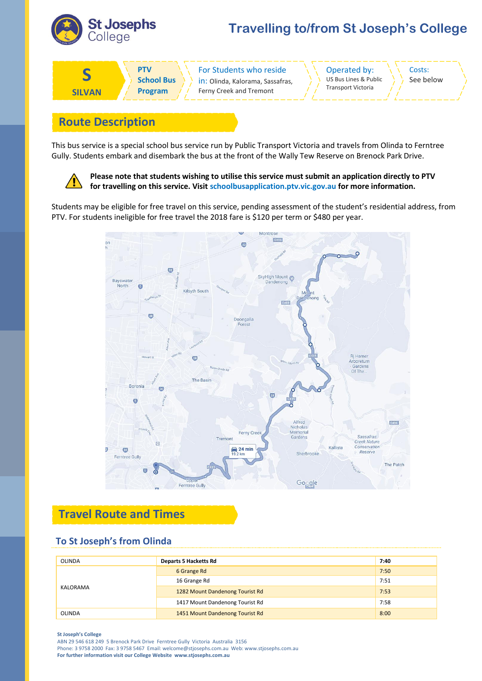

# **Travelling to/from St Joseph's College**



in: Olinda, Kalorama, Sassafras, Ferny Creek and Tremont

Operated by: US Bus Lines & Public Transport Victoria

Costs: See below

## **Route Description**

This bus service is a special school bus service run by Public Transport Victoria and travels from Olinda to Ferntree Gully. Students embark and disembark the bus at the front of the Wally Tew Reserve on Brenock Park Drive.



**Please note that students wishing to utilise this service must submit an application directly to PTV for travelling on this service. Visit schoolbusapplication.ptv.vic.gov.au for more information.**

Students may be eligible for free travel on this service, pending assessment of the student's residential address, from PTV. For students ineligible for free travel the 2018 fare is \$120 per term or \$480 per year.



### **Travel Route and Times**

#### **To St Joseph's from Olinda**

| <b>OLINDA</b> | <b>Departs 5 Hacketts Rd</b>    | 7:40 |
|---------------|---------------------------------|------|
| KALORAMA      | 6 Grange Rd                     | 7:50 |
|               | 16 Grange Rd                    | 7:51 |
|               | 1282 Mount Dandenong Tourist Rd | 7:53 |
|               | 1417 Mount Dandenong Tourist Rd | 7:58 |
| <b>OLINDA</b> | 1451 Mount Dandenong Tourist Rd | 8:00 |

#### **St Joseph's College**

ABN 29 546 618 249 5 Brenock Park Drive Ferntree Gully Victoria Australia 3156 Phone: 3 9758 2000 Fax: 3 9758 5467 Email: welcome@stjosephs.com.au Web: www.stjosephs.com.au **For further information visit our College Website www.stjosephs.com.au**